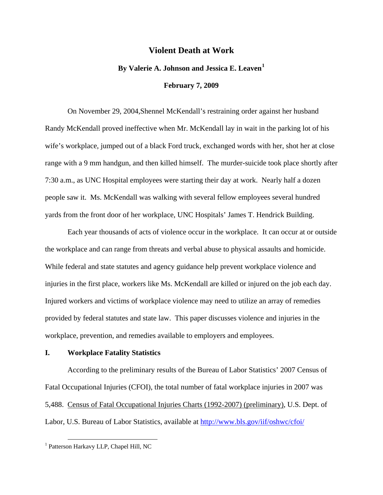## **Violent Death at Work**

## **By Valerie A. Johnson and Jessica E. Leaven[1](#page-0-0)**

#### **February 7, 2009**

 On November 29, 2004,Shennel McKendall's restraining order against her husband Randy McKendall proved ineffective when Mr. McKendall lay in wait in the parking lot of his wife's workplace, jumped out of a black Ford truck, exchanged words with her, shot her at close range with a 9 mm handgun, and then killed himself. The murder-suicide took place shortly after 7:30 a.m., as UNC Hospital employees were starting their day at work. Nearly half a dozen people saw it. Ms. McKendall was walking with several fellow employees several hundred yards from the front door of her workplace, UNC Hospitals' James T. Hendrick Building.

 Each year thousands of acts of violence occur in the workplace. It can occur at or outside the workplace and can range from threats and verbal abuse to physical assaults and homicide. While federal and state statutes and agency guidance help prevent workplace violence and injuries in the first place, workers like Ms. McKendall are killed or injured on the job each day. Injured workers and victims of workplace violence may need to utilize an array of remedies provided by federal statutes and state law. This paper discusses violence and injuries in the workplace, prevention, and remedies available to employers and employees.

#### **I. Workplace Fatality Statistics**

 According to the preliminary results of the Bureau of Labor Statistics' 2007 Census of Fatal Occupational Injuries (CFOI), the total number of fatal workplace injuries in 2007 was 5,488. Census of Fatal Occupational Injuries Charts (1992-2007) (preliminary), U.S. Dept. of Labor, U.S. Bureau of Labor Statistics, available at [http://www.bls.gov/iif/oshwc/cfoi/](http://www.bls.gov/iif/oshwc/cfoi/cfch0006.pdf)

<span id="page-0-0"></span> <sup>1</sup> Patterson Harkavy LLP, Chapel Hill, NC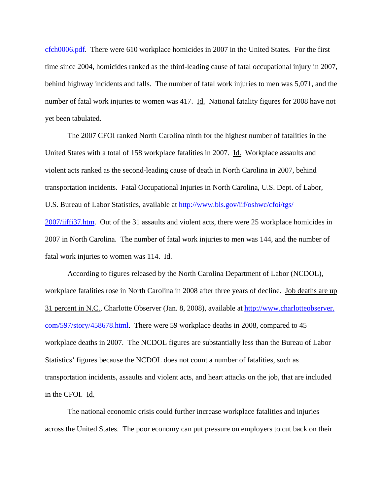[cfch0006.pdf.](http://www.bls.gov/iif/oshwc/cfoi/cfch0006.pdf) There were 610 workplace homicides in 2007 in the United States. For the first time since 2004, homicides ranked as the third-leading cause of fatal occupational injury in 2007, behind highway incidents and falls. The number of fatal work injuries to men was 5,071, and the number of fatal work injuries to women was 417. Id. National fatality figures for 2008 have not yet been tabulated.

 The 2007 CFOI ranked North Carolina ninth for the highest number of fatalities in the United States with a total of 158 workplace fatalities in 2007. Id. Workplace assaults and violent acts ranked as the second-leading cause of death in North Carolina in 2007, behind transportation incidents. Fatal Occupational Injuries in North Carolina, U.S. Dept. of Labor, U.S. Bureau of Labor Statistics, available at [http://www.bls.gov/iif/oshwc/cfoi/tgs/](http://www.bls.gov/iif/oshwc/cfoi/tgs/2007/iiffi37.htm) [2007/iiffi37.htm.](http://www.bls.gov/iif/oshwc/cfoi/tgs/2007/iiffi37.htm) Out of the 31 assaults and violent acts, there were 25 workplace homicides in 2007 in North Carolina. The number of fatal work injuries to men was 144, and the number of fatal work injuries to women was 114. Id.

 According to figures released by the North Carolina Department of Labor (NCDOL), workplace fatalities rose in North Carolina in 2008 after three years of decline. Job deaths are up 31 percent in N.C., Charlotte Observer (Jan. 8, 2008), available at [http://www.charlotteobserver.](http://www.charlotteobserver.com/597/story/458678.html) [com/597/story/458678.html.](http://www.charlotteobserver.com/597/story/458678.html) There were 59 workplace deaths in 2008, compared to 45 workplace deaths in 2007. The NCDOL figures are substantially less than the Bureau of Labor Statistics' figures because the NCDOL does not count a number of fatalities, such as transportation incidents, assaults and violent acts, and heart attacks on the job, that are included in the CFOI. Id.

 The national economic crisis could further increase workplace fatalities and injuries across the United States. The poor economy can put pressure on employers to cut back on their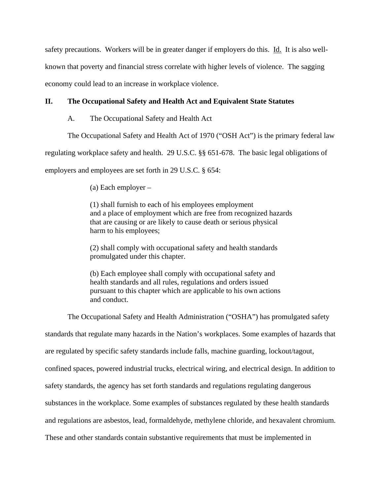safety precautions. Workers will be in greater danger if employers do this. Id. It is also wellknown that poverty and financial stress correlate with higher levels of violence. The sagging economy could lead to an increase in workplace violence.

# **II. The Occupational Safety and Health Act and Equivalent State Statutes**

A. The Occupational Safety and Health Act

The Occupational Safety and Health Act of 1970 ("OSH Act") is the primary federal law

regulating workplace safety and health. 29 U.S.C. §§ 651-678. The basic legal obligations of

employers and employees are set forth in 29 U.S.C. § 654:

(a) Each employer –

(1) shall furnish to each of his employees employment and a place of employment which are free from recognized hazards that are causing or are likely to cause death or serious physical harm to his employees;

(2) shall comply with occupational safety and health standards promulgated under this chapter.

(b) Each employee shall comply with occupational safety and health standards and all rules, regulations and orders issued pursuant to this chapter which are applicable to his own actions and conduct.

The Occupational Safety and Health Administration ("OSHA") has promulgated safety

standards that regulate many hazards in the Nation's workplaces. Some examples of hazards that

are regulated by specific safety standards include falls, machine guarding, lockout/tagout,

confined spaces, powered industrial trucks, electrical wiring, and electrical design. In addition to

safety standards, the agency has set forth standards and regulations regulating dangerous

substances in the workplace. Some examples of substances regulated by these health standards

and regulations are asbestos, lead, formaldehyde, methylene chloride, and hexavalent chromium.

These and other standards contain substantive requirements that must be implemented in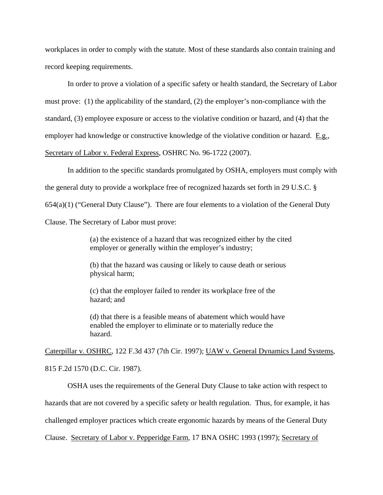workplaces in order to comply with the statute. Most of these standards also contain training and record keeping requirements.

 In order to prove a violation of a specific safety or health standard, the Secretary of Labor must prove: (1) the applicability of the standard, (2) the employer's non-compliance with the standard, (3) employee exposure or access to the violative condition or hazard, and (4) that the employer had knowledge or constructive knowledge of the violative condition or hazard. E.g., Secretary of Labor v. Federal Express, OSHRC No. 96-1722 (2007).

 In addition to the specific standards promulgated by OSHA, employers must comply with the general duty to provide a workplace free of recognized hazards set forth in 29 U.S.C. §  $654(a)(1)$  ("General Duty Clause"). There are four elements to a violation of the General Duty Clause. The Secretary of Labor must prove:

> (a) the existence of a hazard that was recognized either by the cited employer or generally within the employer's industry;

(b) that the hazard was causing or likely to cause death or serious physical harm;

(c) that the employer failed to render its workplace free of the hazard; and

(d) that there is a feasible means of abatement which would have enabled the employer to eliminate or to materially reduce the hazard.

Caterpillar v. OSHRC, 122 F.3d 437 (7th Cir. 1997); UAW v. General Dynamics Land Systems, 815 F.2d 1570 (D.C. Cir. 1987).

 OSHA uses the requirements of the General Duty Clause to take action with respect to hazards that are not covered by a specific safety or health regulation. Thus, for example, it has challenged employer practices which create ergonomic hazards by means of the General Duty Clause. Secretary of Labor v. Pepperidge Farm, 17 BNA OSHC 1993 (1997); Secretary of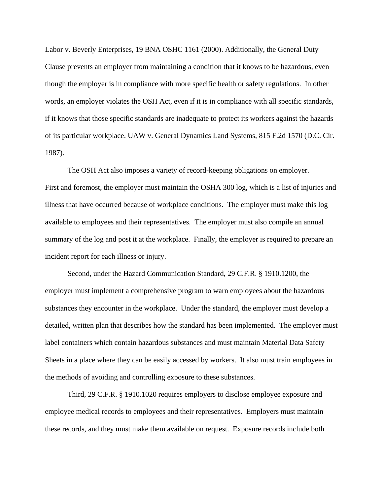Labor v. Beverly Enterprises, 19 BNA OSHC 1161 (2000). Additionally, the General Duty Clause prevents an employer from maintaining a condition that it knows to be hazardous, even though the employer is in compliance with more specific health or safety regulations. In other words, an employer violates the OSH Act, even if it is in compliance with all specific standards, if it knows that those specific standards are inadequate to protect its workers against the hazards of its particular workplace. UAW v. General Dynamics Land Systems, 815 F.2d 1570 (D.C. Cir. 1987).

 The OSH Act also imposes a variety of record-keeping obligations on employer. First and foremost, the employer must maintain the OSHA 300 log, which is a list of injuries and illness that have occurred because of workplace conditions. The employer must make this log available to employees and their representatives. The employer must also compile an annual summary of the log and post it at the workplace. Finally, the employer is required to prepare an incident report for each illness or injury.

 Second, under the Hazard Communication Standard, 29 C.F.R. § 1910.1200, the employer must implement a comprehensive program to warn employees about the hazardous substances they encounter in the workplace. Under the standard, the employer must develop a detailed, written plan that describes how the standard has been implemented. The employer must label containers which contain hazardous substances and must maintain Material Data Safety Sheets in a place where they can be easily accessed by workers. It also must train employees in the methods of avoiding and controlling exposure to these substances.

 Third, 29 C.F.R. § 1910.1020 requires employers to disclose employee exposure and employee medical records to employees and their representatives. Employers must maintain these records, and they must make them available on request. Exposure records include both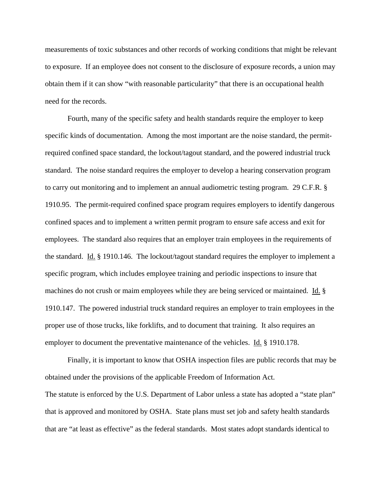measurements of toxic substances and other records of working conditions that might be relevant to exposure. If an employee does not consent to the disclosure of exposure records, a union may obtain them if it can show "with reasonable particularity" that there is an occupational health need for the records.

 Fourth, many of the specific safety and health standards require the employer to keep specific kinds of documentation. Among the most important are the noise standard, the permitrequired confined space standard, the lockout/tagout standard, and the powered industrial truck standard. The noise standard requires the employer to develop a hearing conservation program to carry out monitoring and to implement an annual audiometric testing program. 29 C.F.R. § 1910.95. The permit-required confined space program requires employers to identify dangerous confined spaces and to implement a written permit program to ensure safe access and exit for employees. The standard also requires that an employer train employees in the requirements of the standard. Id. § 1910.146. The lockout/tagout standard requires the employer to implement a specific program, which includes employee training and periodic inspections to insure that machines do not crush or maim employees while they are being serviced or maintained. Id. § 1910.147. The powered industrial truck standard requires an employer to train employees in the proper use of those trucks, like forklifts, and to document that training. It also requires an employer to document the preventative maintenance of the vehicles. Id. § 1910.178.

 Finally, it is important to know that OSHA inspection files are public records that may be obtained under the provisions of the applicable Freedom of Information Act. The statute is enforced by the U.S. Department of Labor unless a state has adopted a "state plan" that is approved and monitored by OSHA. State plans must set job and safety health standards that are "at least as effective" as the federal standards. Most states adopt standards identical to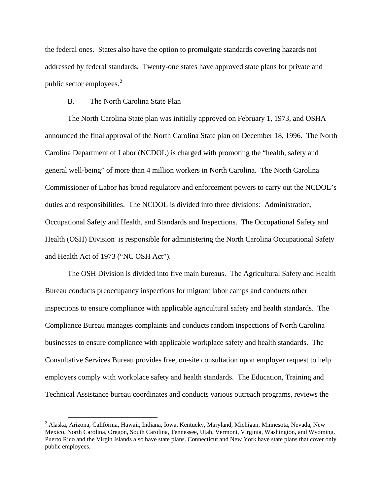the federal ones. States also have the option to promulgate standards covering hazards not addressed by federal standards. Twenty-one states have approved state plans for private and public sector employees. $2$ 

## B. The North Carolina State Plan

 The North Carolina State plan was initially approved on February 1, 1973, and OSHA announced the final approval of the North Carolina State plan on December 18, 1996. The North Carolina Department of Labor (NCDOL) is charged with promoting the "health, safety and general well-being" of more than 4 million workers in North Carolina. The North Carolina Commissioner of Labor has broad regulatory and enforcement powers to carry out the NCDOL's duties and responsibilities. The NCDOL is divided into three divisions: Administration, Occupational Safety and Health, and Standards and Inspections. The Occupational Safety and Health (OSH) Division is responsible for administering the North Carolina Occupational Safety and Health Act of 1973 ("NC OSH Act").

 The OSH Division is divided into five main bureaus. The Agricultural Safety and Health Bureau conducts preoccupancy inspections for migrant labor camps and conducts other inspections to ensure compliance with applicable agricultural safety and health standards. The Compliance Bureau manages complaints and conducts random inspections of North Carolina businesses to ensure compliance with applicable workplace safety and health standards. The Consultative Services Bureau provides free, on-site consultation upon employer request to help employers comply with workplace safety and health standards. The Education, Training and Technical Assistance bureau coordinates and conducts various outreach programs, reviews the

<span id="page-6-0"></span> <sup>2</sup> Alaska, Arizona, California, Hawaii, Indiana, Iowa, Kentucky, Maryland, Michigan, Minnesota, Nevada, New Mexico, North Carolina, Oregon, South Carolina, Tennessee, Utah, Vermont, Virginia, Washington, and Wyoming. Puerto Rico and the Virgin Islands also have state plans. Connecticut and New York have state plans that cover only public employees.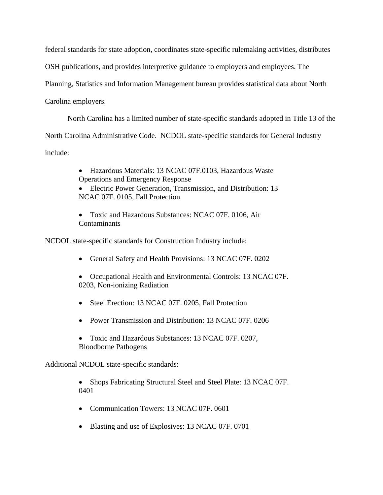federal standards for state adoption, coordinates state-specific rulemaking activities, distributes

OSH publications, and provides interpretive guidance to employers and employees. The

Planning, Statistics and Information Management bureau provides statistical data about North

Carolina employers.

North Carolina has a limited number of state-specific standards adopted in Title 13 of the

North Carolina Administrative Code. NCDOL state-specific standards for General Industry

include:

• Hazardous Materials: 13 NCAC 07F.0103, Hazardous Waste Operations and Emergency Response

• Electric Power Generation, Transmission, and Distribution: 13 NCAC 07F. 0105, Fall Protection

• Toxic and Hazardous Substances: NCAC 07F. 0106, Air Contaminants

NCDOL state-specific standards for Construction Industry include:

- General Safety and Health Provisions: 13 NCAC 07F. 0202
- Occupational Health and Environmental Controls: 13 NCAC 07F. 0203, Non-ionizing Radiation
- Steel Erection: 13 NCAC 07F. 0205, Fall Protection
- Power Transmission and Distribution: 13 NCAC 07F. 0206
- Toxic and Hazardous Substances: 13 NCAC 07F. 0207, Bloodborne Pathogens

Additional NCDOL state-specific standards:

• Shops Fabricating Structural Steel and Steel Plate: 13 NCAC 07F. 0401

- Communication Towers: 13 NCAC 07F. 0601
- Blasting and use of Explosives: 13 NCAC 07F. 0701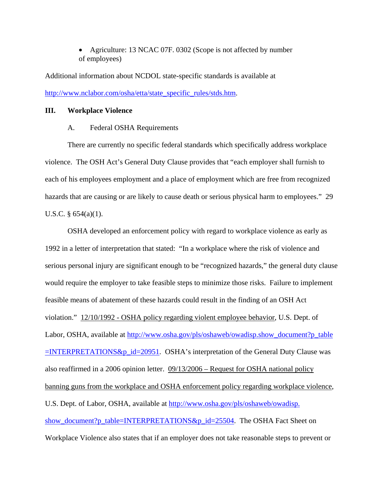• Agriculture: 13 NCAC 07F. 0302 (Scope is not affected by number of employees)

Additional information about NCDOL state-specific standards is available at [http://www.nclabor.com/osha/etta/state\\_specific\\_rules/stds.htm.](http://www.nclabor.com/osha/etta/state_specific_rules/stds.htm)

## **III. Workplace Violence**

#### A. Federal OSHA Requirements

 There are currently no specific federal standards which specifically address workplace violence. The OSH Act's General Duty Clause provides that "each employer shall furnish to each of his employees employment and a place of employment which are free from recognized hazards that are causing or are likely to cause death or serious physical harm to employees." 29 U.S.C. § 654(a)(1).

 OSHA developed an enforcement policy with regard to workplace violence as early as 1992 in a letter of interpretation that stated: "In a workplace where the risk of violence and serious personal injury are significant enough to be "recognized hazards," the general duty clause would require the employer to take feasible steps to minimize those risks. Failure to implement feasible means of abatement of these hazards could result in the finding of an OSH Act violation." 12/10/1992 - OSHA policy regarding violent employee behavior, U.S. Dept. of Labor, OSHA, available at [http://www.osha.gov/pls/oshaweb/owadisp.show\\_document?p\\_table](http://www.osha.gov/pls/oshaweb/owadisp.show_document?p_table=INTERPRETATIONS&p_id=20951)  $=$ INTERPRETATIONS&p\_id=20951. OSHA's interpretation of the General Duty Clause was also reaffirmed in a 2006 opinion letter. 09/13/2006 – Request for OSHA national policy banning guns from the workplace and OSHA enforcement policy regarding workplace violence, U.S. Dept. of Labor, OSHA, available at [http://www.osha.gov/pls/oshaweb/owadisp.](http://www.osha.gov/pls/oshaweb/owadisp.show_document?p_table=INTERPRETATIONS&p_id=25504) [show\\_document?p\\_table=INTERPRETATIONS&p\\_id=25504](http://www.osha.gov/pls/oshaweb/owadisp.show_document?p_table=INTERPRETATIONS&p_id=25504). The OSHA Fact Sheet on Workplace Violence also states that if an employer does not take reasonable steps to prevent or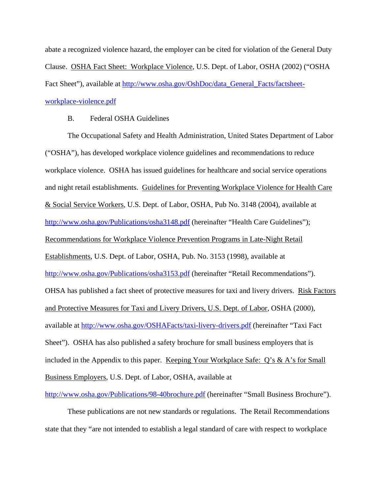abate a recognized violence hazard, the employer can be cited for violation of the General Duty Clause. OSHA Fact Sheet: Workplace Violence, U.S. Dept. of Labor, OSHA (2002) ("OSHA Fact Sheet"), available at [http://www.osha.gov/OshDoc/data\\_General\\_Facts/factsheet](http://www.osha.gov/OshDoc/data_General_Facts/factsheet-workplace-violence.pdf)[workplace-violence.pdf](http://www.osha.gov/OshDoc/data_General_Facts/factsheet-workplace-violence.pdf)

## B. Federal OSHA Guidelines

 The Occupational Safety and Health Administration, United States Department of Labor ("OSHA"), has developed workplace violence guidelines and recommendations to reduce workplace violence. OSHA has issued guidelines for healthcare and social service operations and night retail establishments. Guidelines for Preventing Workplace Violence for Health Care & Social Service Workers, U.S. Dept. of Labor, OSHA, Pub No. 3148 (2004), available at <http://www.osha.gov/Publications/osha3148.pdf>(hereinafter "Health Care Guidelines"); Recommendations for Workplace Violence Prevention Programs in Late-Night Retail Establishments, U.S. Dept. of Labor, OSHA, Pub. No. 3153 (1998), available at <http://www.osha.gov/Publications/osha3153.pdf>(hereinafter "Retail Recommendations"). OHSA has published a fact sheet of protective measures for taxi and livery drivers. Risk Factors and Protective Measures for Taxi and Livery Drivers, U.S. Dept. of Labor, OSHA (2000), available at<http://www.osha.gov/OSHAFacts/taxi-livery-drivers.pdf>(hereinafter "Taxi Fact Sheet"). OSHA has also published a safety brochure for small business employers that is included in the Appendix to this paper. Keeping Your Workplace Safe: Q's & A's for Small Business Employers, U.S. Dept. of Labor, OSHA, available at

<http://www.osha.gov/Publications/98-40brochure.pdf> (hereinafter "Small Business Brochure").

 These publications are not new standards or regulations. The Retail Recommendations state that they "are not intended to establish a legal standard of care with respect to workplace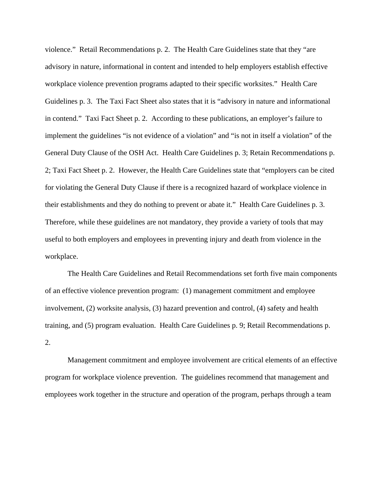violence." Retail Recommendations p. 2. The Health Care Guidelines state that they "are advisory in nature, informational in content and intended to help employers establish effective workplace violence prevention programs adapted to their specific worksites." Health Care Guidelines p. 3. The Taxi Fact Sheet also states that it is "advisory in nature and informational in contend." Taxi Fact Sheet p. 2. According to these publications, an employer's failure to implement the guidelines "is not evidence of a violation" and "is not in itself a violation" of the General Duty Clause of the OSH Act. Health Care Guidelines p. 3; Retain Recommendations p. 2; Taxi Fact Sheet p. 2. However, the Health Care Guidelines state that "employers can be cited for violating the General Duty Clause if there is a recognized hazard of workplace violence in their establishments and they do nothing to prevent or abate it." Health Care Guidelines p. 3. Therefore, while these guidelines are not mandatory, they provide a variety of tools that may useful to both employers and employees in preventing injury and death from violence in the workplace.

 The Health Care Guidelines and Retail Recommendations set forth five main components of an effective violence prevention program: (1) management commitment and employee involvement, (2) worksite analysis, (3) hazard prevention and control, (4) safety and health training, and (5) program evaluation. Health Care Guidelines p. 9; Retail Recommendations p. 2.

 Management commitment and employee involvement are critical elements of an effective program for workplace violence prevention. The guidelines recommend that management and employees work together in the structure and operation of the program, perhaps through a team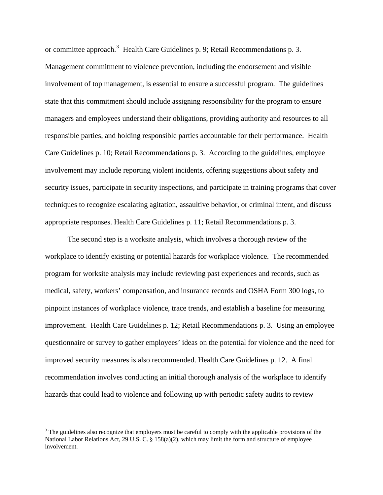or committee approach.<sup>[3](#page-11-0)</sup> Health Care Guidelines p. 9; Retail Recommendations p. 3. Management commitment to violence prevention, including the endorsement and visible involvement of top management, is essential to ensure a successful program. The guidelines state that this commitment should include assigning responsibility for the program to ensure managers and employees understand their obligations, providing authority and resources to all responsible parties, and holding responsible parties accountable for their performance. Health Care Guidelines p. 10; Retail Recommendations p. 3. According to the guidelines, employee involvement may include reporting violent incidents, offering suggestions about safety and security issues, participate in security inspections, and participate in training programs that cover techniques to recognize escalating agitation, assaultive behavior, or criminal intent, and discuss appropriate responses. Health Care Guidelines p. 11; Retail Recommendations p. 3.

 The second step is a worksite analysis, which involves a thorough review of the workplace to identify existing or potential hazards for workplace violence. The recommended program for worksite analysis may include reviewing past experiences and records, such as medical, safety, workers' compensation, and insurance records and OSHA Form 300 logs, to pinpoint instances of workplace violence, trace trends, and establish a baseline for measuring improvement. Health Care Guidelines p. 12; Retail Recommendations p. 3. Using an employee questionnaire or survey to gather employees' ideas on the potential for violence and the need for improved security measures is also recommended. Health Care Guidelines p. 12. A final recommendation involves conducting an initial thorough analysis of the workplace to identify hazards that could lead to violence and following up with periodic safety audits to review

<span id="page-11-0"></span><sup>&</sup>lt;sup>3</sup> The guidelines also recognize that employers must be careful to comply with the applicable provisions of the National Labor Relations Act, 29 U.S. C. § 158(a)(2), which may limit the form and structure of employee involvement.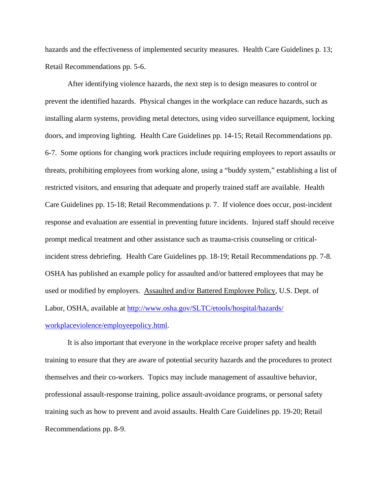hazards and the effectiveness of implemented security measures. Health Care Guidelines p. 13; Retail Recommendations pp. 5-6.

 After identifying violence hazards, the next step is to design measures to control or prevent the identified hazards. Physical changes in the workplace can reduce hazards, such as installing alarm systems, providing metal detectors, using video surveillance equipment, locking doors, and improving lighting. Health Care Guidelines pp. 14-15; Retail Recommendations pp. 6-7. Some options for changing work practices include requiring employees to report assaults or threats, prohibiting employees from working alone, using a "buddy system," establishing a list of restricted visitors, and ensuring that adequate and properly trained staff are available. Health Care Guidelines pp. 15-18; Retail Recommendations p. 7. If violence does occur, post-incident response and evaluation are essential in preventing future incidents. Injured staff should receive prompt medical treatment and other assistance such as trauma-crisis counseling or criticalincident stress debriefing. Health Care Guidelines pp. 18-19; Retail Recommendations pp. 7-8. OSHA has published an example policy for assaulted and/or battered employees that may be used or modified by employers. Assaulted and/or Battered Employee Policy, U.S. Dept. of Labor, OSHA, available at [http://www.osha.gov/SLTC/etools/hospital/hazards/](http://www.osha.gov/SLTC/etools/hospital/hazards/workplaceviolence/employeepolicy.html) [workplaceviolence/employeepolicy.html.](http://www.osha.gov/SLTC/etools/hospital/hazards/workplaceviolence/employeepolicy.html)

 It is also important that everyone in the workplace receive proper safety and health training to ensure that they are aware of potential security hazards and the procedures to protect themselves and their co-workers. Topics may include management of assaultive behavior, professional assault-response training, police assault-avoidance programs, or personal safety training such as how to prevent and avoid assaults. Health Care Guidelines pp. 19-20; Retail Recommendations pp. 8-9.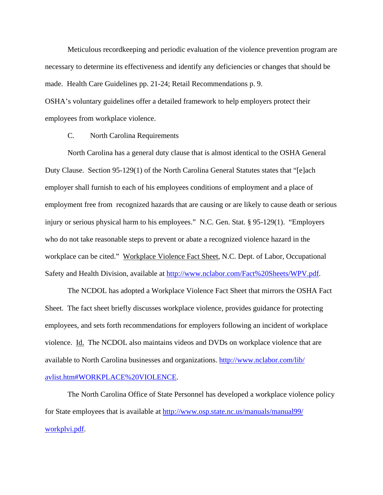Meticulous recordkeeping and periodic evaluation of the violence prevention program are necessary to determine its effectiveness and identify any deficiencies or changes that should be made. Health Care Guidelines pp. 21-24; Retail Recommendations p. 9. OSHA's voluntary guidelines offer a detailed framework to help employers protect their

employees from workplace violence.

C. North Carolina Requirements

 North Carolina has a general duty clause that is almost identical to the OSHA General Duty Clause. Section 95-129(1) of the North Carolina General Statutes states that "[e]ach employer shall furnish to each of his employees conditions of employment and a place of employment free from recognized hazards that are causing or are likely to cause death or serious injury or serious physical harm to his employees." N.C. Gen. Stat. § 95-129(1). "Employers who do not take reasonable steps to prevent or abate a recognized violence hazard in the workplace can be cited." Workplace Violence Fact Sheet, N.C. Dept. of Labor, Occupational Safety and Health Division, available at [http://www.nclabor.com/Fact%20Sheets/WPV.pdf.](http://www.nclabor.com/Fact%20Sheets/WPV.pdf)

 The NCDOL has adopted a Workplace Violence Fact Sheet that mirrors the OSHA Fact Sheet. The fact sheet briefly discusses workplace violence, provides guidance for protecting employees, and sets forth recommendations for employers following an incident of workplace violence. Id. The NCDOL also maintains videos and DVDs on workplace violence that are available to North Carolina businesses and organizations. [http://www.nclabor.com/lib/](http://www.nclabor.com/lib/avlist.htm#WORKPLACE%20VIOLENCE) [avlist.htm#WORKPLACE%20VIOLENCE](http://www.nclabor.com/lib/avlist.htm#WORKPLACE%20VIOLENCE).

 The North Carolina Office of State Personnel has developed a workplace violence policy for State employees that is available at [http://www.osp.state.nc.us/manuals/manual99/](http://www.osp.state.nc.us/manuals/manual99/workplvi.pdf) [workplvi.pdf](http://www.osp.state.nc.us/manuals/manual99/workplvi.pdf).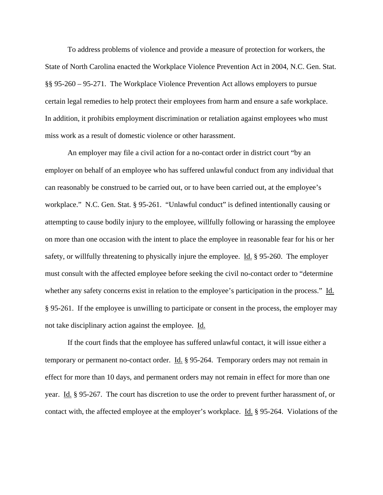To address problems of violence and provide a measure of protection for workers, the State of North Carolina enacted the Workplace Violence Prevention Act in 2004, N.C. Gen. Stat. §§ 95-260 – 95-271. The Workplace Violence Prevention Act allows employers to pursue certain legal remedies to help protect their employees from harm and ensure a safe workplace. In addition, it prohibits employment discrimination or retaliation against employees who must miss work as a result of domestic violence or other harassment.

 An employer may file a civil action for a no-contact order in district court "by an employer on behalf of an employee who has suffered unlawful conduct from any individual that can reasonably be construed to be carried out, or to have been carried out, at the employee's workplace." N.C. Gen. Stat. § 95-261. "Unlawful conduct" is defined intentionally causing or attempting to cause bodily injury to the employee, willfully following or harassing the employee on more than one occasion with the intent to place the employee in reasonable fear for his or her safety, or willfully threatening to physically injure the employee. Id. § 95-260. The employer must consult with the affected employee before seeking the civil no-contact order to "determine whether any safety concerns exist in relation to the employee's participation in the process." Id. § 95-261. If the employee is unwilling to participate or consent in the process, the employer may not take disciplinary action against the employee. Id.

 If the court finds that the employee has suffered unlawful contact, it will issue either a temporary or permanent no-contact order. Id. § 95-264. Temporary orders may not remain in effect for more than 10 days, and permanent orders may not remain in effect for more than one year. Id. § 95-267. The court has discretion to use the order to prevent further harassment of, or contact with, the affected employee at the employer's workplace. Id. § 95-264. Violations of the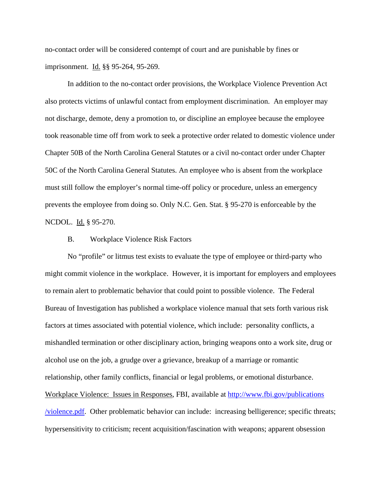no-contact order will be considered contempt of court and are punishable by fines or imprisonment. Id. §§ 95-264, 95-269.

 In addition to the no-contact order provisions, the Workplace Violence Prevention Act also protects victims of unlawful contact from employment discrimination. An employer may not discharge, demote, deny a promotion to, or discipline an employee because the employee took reasonable time off from work to seek a protective order related to domestic violence under Chapter 50B of the North Carolina General Statutes or a civil no-contact order under Chapter 50C of the North Carolina General Statutes. An employee who is absent from the workplace must still follow the employer's normal time-off policy or procedure, unless an emergency prevents the employee from doing so. Only N.C. Gen. Stat. § 95-270 is enforceable by the NCDOL. Id. § 95-270.

#### B. Workplace Violence Risk Factors

 No "profile" or litmus test exists to evaluate the type of employee or third-party who might commit violence in the workplace. However, it is important for employers and employees to remain alert to problematic behavior that could point to possible violence. The Federal Bureau of Investigation has published a workplace violence manual that sets forth various risk factors at times associated with potential violence, which include: personality conflicts, a mishandled termination or other disciplinary action, bringing weapons onto a work site, drug or alcohol use on the job, a grudge over a grievance, breakup of a marriage or romantic relationship, other family conflicts, financial or legal problems, or emotional disturbance. Workplace Violence: Issues in Responses, FBI, available at [http://www.fbi.gov/publications](http://www.fbi.gov/publications/violence.pdf) [/violence.pdf.](http://www.fbi.gov/publications/violence.pdf) Other problematic behavior can include: increasing belligerence; specific threats; hypersensitivity to criticism; recent acquisition/fascination with weapons; apparent obsession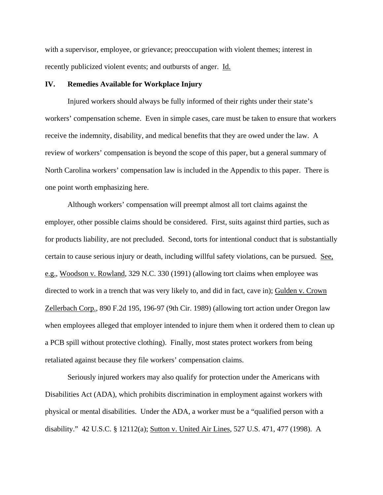with a supervisor, employee, or grievance; preoccupation with violent themes; interest in recently publicized violent events; and outbursts of anger. Id.

#### **IV. Remedies Available for Workplace Injury**

 Injured workers should always be fully informed of their rights under their state's workers' compensation scheme. Even in simple cases, care must be taken to ensure that workers receive the indemnity, disability, and medical benefits that they are owed under the law. A review of workers' compensation is beyond the scope of this paper, but a general summary of North Carolina workers' compensation law is included in the Appendix to this paper. There is one point worth emphasizing here.

 Although workers' compensation will preempt almost all tort claims against the employer, other possible claims should be considered. First, suits against third parties, such as for products liability, are not precluded. Second, torts for intentional conduct that is substantially certain to cause serious injury or death, including willful safety violations, can be pursued. See, e.g., Woodson v. Rowland, 329 N.C. 330 (1991) (allowing tort claims when employee was directed to work in a trench that was very likely to, and did in fact, cave in); Gulden v. Crown Zellerbach Corp., 890 F.2d 195, 196-97 (9th Cir. 1989) (allowing tort action under Oregon law when employees alleged that employer intended to injure them when it ordered them to clean up a PCB spill without protective clothing). Finally, most states protect workers from being retaliated against because they file workers' compensation claims.

 Seriously injured workers may also qualify for protection under the Americans with Disabilities Act (ADA), which prohibits discrimination in employment against workers with physical or mental disabilities. Under the ADA, a worker must be a "qualified person with a disability." 42 U.S.C. § 12112(a); Sutton v. United Air Lines, 527 U.S. 471, 477 (1998). A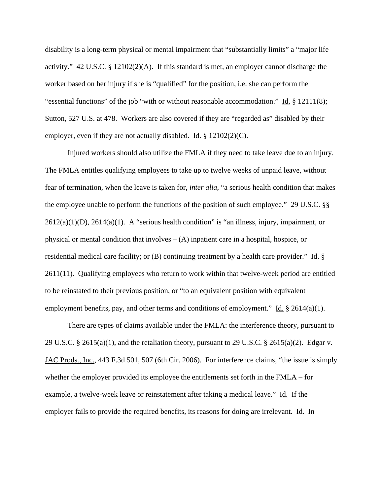disability is a long-term physical or mental impairment that "substantially limits" a "major life activity." 42 U.S.C. § 12102(2)(A). If this standard is met, an employer cannot discharge the worker based on her injury if she is "qualified" for the position, i.e. she can perform the "essential functions" of the job "with or without reasonable accommodation." Id. § 12111(8); Sutton, 527 U.S. at 478. Workers are also covered if they are "regarded as" disabled by their employer, even if they are not actually disabled. Id. § 12102(2)(C).

 Injured workers should also utilize the FMLA if they need to take leave due to an injury. The FMLA entitles qualifying employees to take up to twelve weeks of unpaid leave, without fear of termination, when the leave is taken for, *inter alia*, "a serious health condition that makes the employee unable to perform the functions of the position of such employee." 29 U.S.C. §§  $2612(a)(1)(D)$ ,  $2614(a)(1)$ . A "serious health condition" is "an illness, injury, impairment, or physical or mental condition that involves  $- (A)$  inpatient care in a hospital, hospice, or residential medical care facility; or (B) continuing treatment by a health care provider." Id. § 2611(11). Qualifying employees who return to work within that twelve-week period are entitled to be reinstated to their previous position, or "to an equivalent position with equivalent employment benefits, pay, and other terms and conditions of employment." Id.  $\S$  2614(a)(1).

 There are types of claims available under the FMLA: the interference theory, pursuant to 29 U.S.C. § 2615(a)(1), and the retaliation theory, pursuant to 29 U.S.C. § 2615(a)(2). Edgar v. JAC Prods., Inc., 443 F.3d 501, 507 (6th Cir. 2006). For interference claims, "the issue is simply whether the employer provided its employee the entitlements set forth in the FMLA – for example, a twelve-week leave or reinstatement after taking a medical leave." Id. If the employer fails to provide the required benefits, its reasons for doing are irrelevant. Id. In